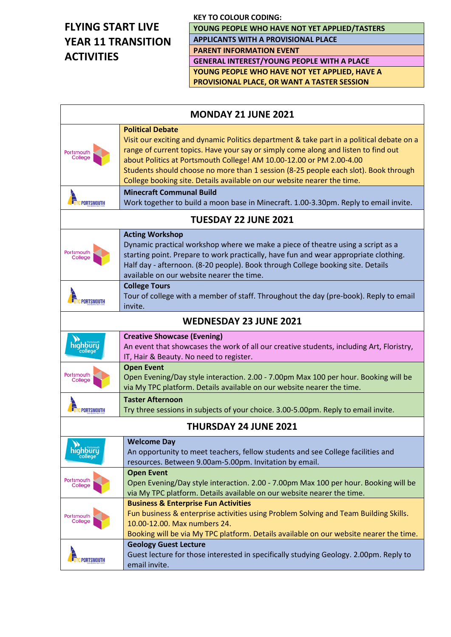# **FLYING START LIVE YEAR 11 TRANSITION ACTIVITIES**

**YOUNG PEOPLE WHO HAVE NOT YET APPLIED/TASTERS APPLICANTS WITH A PROVISIONAL PLACE**

**PARENT INFORMATION EVENT**

**GENERAL INTEREST/YOUNG PEOPLE WITH A PLACE YOUNG PEOPLE WHO HAVE NOT YET APPLIED, HAVE A PROVISIONAL PLACE, OR WANT A TASTER SESSION**

| <b>MONDAY 21 JUNE 2021</b>    |                                                                                                                                                                                                                                                                                                                                                                                                                                                      |  |
|-------------------------------|------------------------------------------------------------------------------------------------------------------------------------------------------------------------------------------------------------------------------------------------------------------------------------------------------------------------------------------------------------------------------------------------------------------------------------------------------|--|
| Portsmouth<br>College         | <b>Political Debate</b><br>Visit our exciting and dynamic Politics department & take part in a political debate on a<br>range of current topics. Have your say or simply come along and listen to find out<br>about Politics at Portsmouth College! AM 10.00-12.00 or PM 2.00-4.00<br>Students should choose no more than 1 session (8-25 people each slot). Book through<br>College booking site. Details available on our website nearer the time. |  |
| <b>UTC PORTSMOUTH</b>         | <b>Minecraft Communal Build</b><br>Work together to build a moon base in Minecraft. 1.00-3.30pm. Reply to email invite.                                                                                                                                                                                                                                                                                                                              |  |
| <b>TUESDAY 22 JUNE 2021</b>   |                                                                                                                                                                                                                                                                                                                                                                                                                                                      |  |
| Portsmouth<br>College         | <b>Acting Workshop</b><br>Dynamic practical workshop where we make a piece of theatre using a script as a<br>starting point. Prepare to work practically, have fun and wear appropriate clothing.<br>Half day - afternoon. (8-20 people). Book through College booking site. Details<br>available on our website nearer the time.                                                                                                                    |  |
| <b>TUTC PORTSMOUTH</b>        | <b>College Tours</b><br>Tour of college with a member of staff. Throughout the day (pre-book). Reply to email<br>invite.                                                                                                                                                                                                                                                                                                                             |  |
| <b>WEDNESDAY 23 JUNE 2021</b> |                                                                                                                                                                                                                                                                                                                                                                                                                                                      |  |
| highbury                      | <b>Creative Showcase (Evening)</b><br>An event that showcases the work of all our creative students, including Art, Floristry,<br>IT, Hair & Beauty. No need to register.                                                                                                                                                                                                                                                                            |  |
| Portsmouth<br>College         | <b>Open Event</b><br>Open Evening/Day style interaction. 2.00 - 7.00pm Max 100 per hour. Booking will be<br>via My TPC platform. Details available on our website nearer the time.                                                                                                                                                                                                                                                                   |  |
| <b>TOTC PORTSMOUTH</b>        | <b>Taster Afternoon</b><br>Try three sessions in subjects of your choice. 3.00-5.00pm. Reply to email invite.                                                                                                                                                                                                                                                                                                                                        |  |
| <b>THURSDAY 24 JUNE 2021</b>  |                                                                                                                                                                                                                                                                                                                                                                                                                                                      |  |
| highbury                      | <b>Welcome Day</b><br>An opportunity to meet teachers, fellow students and see College facilities and<br>resources. Between 9.00am-5.00pm. Invitation by email.                                                                                                                                                                                                                                                                                      |  |
| Portsmouth<br>College         | <b>Open Event</b><br>Open Evening/Day style interaction. 2.00 - 7.00pm Max 100 per hour. Booking will be<br>via My TPC platform. Details available on our website nearer the time.                                                                                                                                                                                                                                                                   |  |
| Portsmouth<br>College         | <b>Business &amp; Enterprise Fun Activities</b><br>Fun business & enterprise activities using Problem Solving and Team Building Skills.<br>10.00-12.00. Max numbers 24.<br>Booking will be via My TPC platform. Details available on our website nearer the time.                                                                                                                                                                                    |  |
| <b>T</b> UTC PORTSMOUTH       | <b>Geology Guest Lecture</b><br>Guest lecture for those interested in specifically studying Geology. 2.00pm. Reply to<br>email invite.                                                                                                                                                                                                                                                                                                               |  |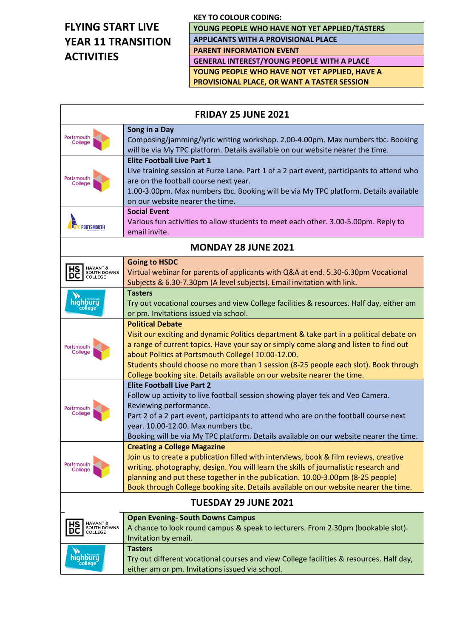# **FLYING START LIVE YEAR 11 TRANSITION ACTIVITIES**

 $\Gamma$ 

**YOUNG PEOPLE WHO HAVE NOT YET APPLIED/TASTERS APPLICANTS WITH A PROVISIONAL PLACE**

**PARENT INFORMATION EVENT**

**GENERAL INTEREST/YOUNG PEOPLE WITH A PLACE YOUNG PEOPLE WHO HAVE NOT YET APPLIED, HAVE A PROVISIONAL PLACE, OR WANT A TASTER SESSION**

| <b>FRIDAY 25 JUNE 2021</b>                     |                                                                                                                                                                                                                                                                                                                                                                                                                                    |  |
|------------------------------------------------|------------------------------------------------------------------------------------------------------------------------------------------------------------------------------------------------------------------------------------------------------------------------------------------------------------------------------------------------------------------------------------------------------------------------------------|--|
| Portsmouth<br>College                          | Song in a Day<br>Composing/jamming/lyric writing workshop. 2.00-4.00pm. Max numbers tbc. Booking<br>will be via My TPC platform. Details available on our website nearer the time.                                                                                                                                                                                                                                                 |  |
| Portsmouth<br>College                          | <b>Elite Football Live Part 1</b><br>Live training session at Furze Lane. Part 1 of a 2 part event, participants to attend who<br>are on the football course next year.<br>1.00-3.00pm. Max numbers tbc. Booking will be via My TPC platform. Details available<br>on our website nearer the time.                                                                                                                                 |  |
| <b>UTC PORTSMOUTH</b>                          | <b>Social Event</b><br>Various fun activities to allow students to meet each other. 3.00-5.00pm. Reply to<br>email invite.                                                                                                                                                                                                                                                                                                         |  |
| <b>MONDAY 28 JUNE 2021</b>                     |                                                                                                                                                                                                                                                                                                                                                                                                                                    |  |
| HAVANT &<br>SOUTH DOWNS<br>COLLEGE<br>DC       | <b>Going to HSDC</b><br>Virtual webinar for parents of applicants with Q&A at end. 5.30-6.30pm Vocational<br>Subjects & 6.30-7.30pm (A level subjects). Email invitation with link.                                                                                                                                                                                                                                                |  |
| highbury                                       | <b>Tasters</b><br>Try out vocational courses and view College facilities & resources. Half day, either am<br>or pm. Invitations issued via school.                                                                                                                                                                                                                                                                                 |  |
| Portsmouth<br>College                          | <b>Political Debate</b><br>Visit our exciting and dynamic Politics department & take part in a political debate on<br>a range of current topics. Have your say or simply come along and listen to find out<br>about Politics at Portsmouth College! 10.00-12.00.<br>Students should choose no more than 1 session (8-25 people each slot). Book through<br>College booking site. Details available on our website nearer the time. |  |
| Portsmouth<br>College                          | <b>Elite Football Live Part 2</b><br>Follow up activity to live football session showing player tek and Veo Camera.<br>Reviewing performance.<br>Part 2 of a 2 part event, participants to attend who are on the football course next<br>year. 10.00-12.00. Max numbers tbc.<br>Booking will be via My TPC platform. Details available on our website nearer the time.                                                             |  |
| Portsmouth<br>College                          | <b>Creating a College Magazine</b><br>Join us to create a publication filled with interviews, book & film reviews, creative<br>writing, photography, design. You will learn the skills of journalistic research and<br>planning and put these together in the publication. 10.00-3.00pm (8-25 people)<br>Book through College booking site. Details available on our website nearer the time.                                      |  |
| <b>TUESDAY 29 JUNE 2021</b>                    |                                                                                                                                                                                                                                                                                                                                                                                                                                    |  |
| HAVANT &<br>SOUTH DOWNS<br>НS<br>DC<br>COLLEGE | <b>Open Evening- South Downs Campus</b><br>A chance to look round campus & speak to lecturers. From 2.30pm (bookable slot).<br>Invitation by email.                                                                                                                                                                                                                                                                                |  |
| highbury<br>college                            | <b>Tasters</b><br>Try out different vocational courses and view College facilities & resources. Half day,<br>either am or pm. Invitations issued via school.                                                                                                                                                                                                                                                                       |  |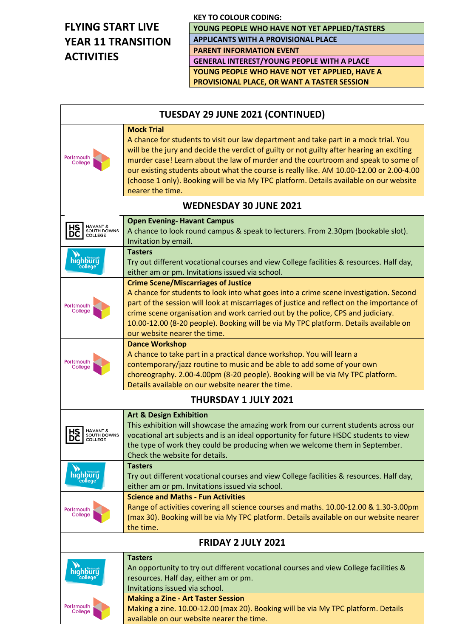# **FLYING START LIVE YEAR 11 TRANSITION ACTIVITIES**

**YOUNG PEOPLE WHO HAVE NOT YET APPLIED/TASTERS APPLICANTS WITH A PROVISIONAL PLACE**

**PARENT INFORMATION EVENT**

**GENERAL INTEREST/YOUNG PEOPLE WITH A PLACE YOUNG PEOPLE WHO HAVE NOT YET APPLIED, HAVE A PROVISIONAL PLACE, OR WANT A TASTER SESSION**

| <b>TUESDAY 29 JUNE 2021 (CONTINUED)</b>         |                                                                                                                                                                                                                                                                                                                                                                                                                                                                                                      |  |
|-------------------------------------------------|------------------------------------------------------------------------------------------------------------------------------------------------------------------------------------------------------------------------------------------------------------------------------------------------------------------------------------------------------------------------------------------------------------------------------------------------------------------------------------------------------|--|
| Portsmouth<br>College                           | <b>Mock Trial</b><br>A chance for students to visit our law department and take part in a mock trial. You<br>will be the jury and decide the verdict of guilty or not guilty after hearing an exciting<br>murder case! Learn about the law of murder and the courtroom and speak to some of<br>our existing students about what the course is really like. AM 10.00-12.00 or 2.00-4.00<br>(choose 1 only). Booking will be via My TPC platform. Details available on our website<br>nearer the time. |  |
| <b>WEDNESDAY 30 JUNE 2021</b>                   |                                                                                                                                                                                                                                                                                                                                                                                                                                                                                                      |  |
| HAVANT &<br>SOUTH DOWNS<br>DC<br><b>COLLEGE</b> | <b>Open Evening- Havant Campus</b><br>A chance to look round campus & speak to lecturers. From 2.30pm (bookable slot).<br>Invitation by email.                                                                                                                                                                                                                                                                                                                                                       |  |
| highbury<br>college                             | <b>Tasters</b><br>Try out different vocational courses and view College facilities & resources. Half day,<br>either am or pm. Invitations issued via school.                                                                                                                                                                                                                                                                                                                                         |  |
| Portsmouth<br>College                           | <b>Crime Scene/Miscarriages of Justice</b><br>A chance for students to look into what goes into a crime scene investigation. Second<br>part of the session will look at miscarriages of justice and reflect on the importance of<br>crime scene organisation and work carried out by the police, CPS and judiciary.<br>10.00-12.00 (8-20 people). Booking will be via My TPC platform. Details available on<br>our website nearer the time.                                                          |  |
| Portsmouth<br>College                           | <b>Dance Workshop</b><br>A chance to take part in a practical dance workshop. You will learn a<br>contemporary/jazz routine to music and be able to add some of your own<br>choreography. 2.00-4.00pm (8-20 people). Booking will be via My TPC platform.<br>Details available on our website nearer the time.                                                                                                                                                                                       |  |
|                                                 | <b>THURSDAY 1 JULY 2021</b>                                                                                                                                                                                                                                                                                                                                                                                                                                                                          |  |
| HAVANT &<br><b>SOUTH DOWNS</b><br>COLLEGE       | <b>Art &amp; Design Exhibition</b><br>This exhibition will showcase the amazing work from our current students across our<br>vocational art subjects and is an ideal opportunity for future HSDC students to view<br>the type of work they could be producing when we welcome them in September.<br>Check the website for details.                                                                                                                                                                   |  |
| highbury                                        | <b>Tasters</b><br>Try out different vocational courses and view College facilities & resources. Half day,<br>either am or pm. Invitations issued via school.                                                                                                                                                                                                                                                                                                                                         |  |
| Portsmouth<br>College                           | <b>Science and Maths - Fun Activities</b><br>Range of activities covering all science courses and maths. 10.00-12.00 & 1.30-3.00pm<br>(max 30). Booking will be via My TPC platform. Details available on our website nearer<br>the time.                                                                                                                                                                                                                                                            |  |
| <b>FRIDAY 2 JULY 2021</b>                       |                                                                                                                                                                                                                                                                                                                                                                                                                                                                                                      |  |
| highbury<br>college                             | <b>Tasters</b><br>An opportunity to try out different vocational courses and view College facilities &<br>resources. Half day, either am or pm.<br>Invitations issued via school.                                                                                                                                                                                                                                                                                                                    |  |
| Portsmouth<br>College                           | <b>Making a Zine - Art Taster Session</b><br>Making a zine. 10.00-12.00 (max 20). Booking will be via My TPC platform. Details<br>available on our website nearer the time.                                                                                                                                                                                                                                                                                                                          |  |